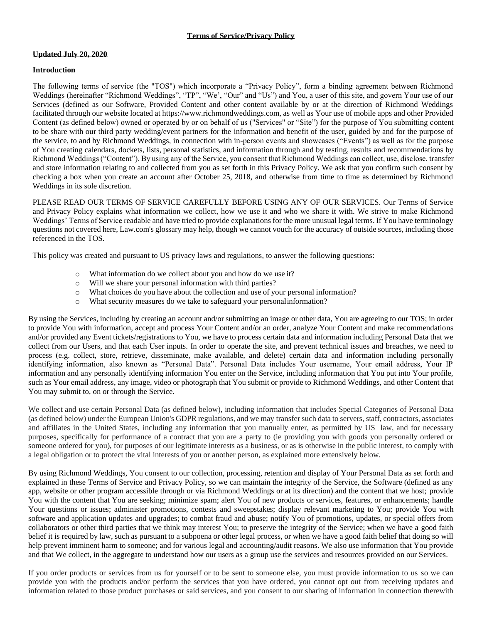## **Updated July 20, 2020**

## **Introduction**

The following terms of service (the "TOS") which incorporate a "Privacy Policy", form a binding agreement between Richmond Weddings (hereinafter "Richmond Weddings", "TP", "We', "Our" and "Us") and You, a user of this site, and govern Your use of our Services (defined as our Software, Provided Content and other content available by or at the direction of Richmond Weddings facilitated through our website located at https://www.richmondweddings.com, as well as Your use of mobile apps and other Provided Content (as defined below) owned or operated by or on behalf of us ("Services" or "Site") for the purpose of You submitting content to be share with our third party wedding/event partners for the information and benefit of the user, guided by and for the purpose of the service, to and by Richmond Weddings, in connection with in-person events and showcases ("Events") as well as for the purpose of You creating calendars, dockets, lists, personal statistics, and information through and by testing, results and recommendations by Richmond Weddings ("Content"). By using any of the Service, you consent that Richmond Weddings can collect, use, disclose, transfer and store information relating to and collected from you as set forth in this Privacy Policy. We ask that you confirm such consent by checking a box when you create an account after October 25, 2018, and otherwise from time to time as determined by Richmond Weddings in its sole discretion.

PLEASE READ OUR TERMS OF SERVICE CAREFULLY BEFORE USING ANY OF OUR SERVICES. Our Terms of Service and Privacy Policy explains what information we collect, how we use it and who we share it with. We strive to make Richmond Weddings' Terms of Service readable and have tried to provide explanations for the more unusual legal terms. If You have terminology questions not covered here, Law.com's glossary may help, though we cannot vouch for the accuracy of outside sources, including those referenced in the TOS.

This policy was created and pursuant to US privacy laws and regulations, to answer the following questions:

- o What information do we collect about you and how do we use it?
- o Will we share your personal information with third parties?
- o What choices do you have about the collection and use of your personal information?
- o What security measures do we take to safeguard your personalinformation?

By using the Services, including by creating an account and/or submitting an image or other data, You are agreeing to our TOS; in order to provide You with information, accept and process Your Content and/or an order, analyze Your Content and make recommendations and/or provided any Event tickets/registrations to You, we have to process certain data and information including Personal Data that we collect from our Users, and that each User inputs. In order to operate the site, and prevent technical issues and breaches, we need to process (e.g. collect, store, retrieve, disseminate, make available, and delete) certain data and information including personally identifying information, also known as "Personal Data". Personal Data includes Your username, Your email address, Your IP information and any personally identifying information You enter on the Service, including information that You put into Your profile, such as Your email address, any image, video or photograph that You submit or provide to Richmond Weddings, and other Content that You may submit to, on or through the Service.

We collect and use certain Personal Data (as defined below), including information that includes Special Categories of Personal Data (as defined below) under the European Union's GDPR regulations, and we may transfer such data to servers, staff, contractors, associates and affiliates in the United States, including any information that you manually enter, as permitted by US law, and for necessary purposes, specifically for performance of a contract that you are a party to (ie providing you with goods you personally ordered or someone ordered for you), for purposes of our legitimate interests as a business, or as is otherwise in the public interest, to comply with a legal obligation or to protect the vital interests of you or another person, as explained more extensively below.

By using Richmond Weddings, You consent to our collection, processing, retention and display of Your Personal Data as set forth and explained in these Terms of Service and Privacy Policy, so we can maintain the integrity of the Service, the Software (defined as any app, website or other program accessible through or via Richmond Weddings or at its direction) and the content that we host; provide You with the content that You are seeking; minimize spam; alert You of new products or services, features, or enhancements; handle Your questions or issues; administer promotions, contests and sweepstakes; display relevant marketing to You; provide You with software and application updates and upgrades; to combat fraud and abuse; notify You of promotions, updates, or special offers from collaborators or other third parties that we think may interest You; to preserve the integrity of the Service; when we have a good faith belief it is required by law, such as pursuant to a subpoena or other legal process, or when we have a good faith belief that doing so will help prevent imminent harm to someone; and for various legal and accounting/audit reasons. We also use information that You provide and that We collect, in the aggregate to understand how our users as a group use the services and resources provided on our Services.

If you order products or services from us for yourself or to be sent to someone else, you must provide information to us so we can provide you with the products and/or perform the services that you have ordered, you cannot opt out from receiving updates and information related to those product purchases or said services, and you consent to our sharing of information in connection therewith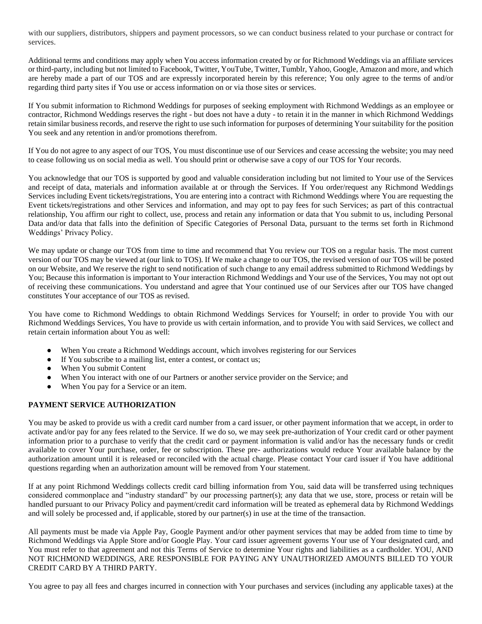with our suppliers, distributors, shippers and payment processors, so we can conduct business related to your purchase or contract for services.

Additional terms and conditions may apply when You access information created by or for Richmond Weddings via an affiliate services or third-party, including but not limited to Facebook, Twitter, YouTube, Twitter, Tumblr, Yahoo, Google, Amazon and more, and which are hereby made a part of our TOS and are expressly incorporated herein by this reference; You only agree to the terms of and/or regarding third party sites if You use or access information on or via those sites or services.

If You submit information to Richmond Weddings for purposes of seeking employment with Richmond Weddings as an employee or contractor, Richmond Weddings reserves the right - but does not have a duty - to retain it in the manner in which Richmond Weddings retain similar business records, and reserve the right to use such information for purposes of determining Your suitability for the position You seek and any retention in and/or promotions therefrom.

If You do not agree to any aspect of our TOS, You must discontinue use of our Services and cease accessing the website; you may need to cease following us on social media as well. You should print or otherwise save a copy of our TOS for Your records.

You acknowledge that our TOS is supported by good and valuable consideration including but not limited to Your use of the Services and receipt of data, materials and information available at or through the Services. If You order/request any Richmond Weddings Services including Event tickets/registrations, You are entering into a contract with Richmond Weddings where You are requesting the Event tickets/registrations and other Services and information, and may opt to pay fees for such Services; as part of this contractual relationship, You affirm our right to collect, use, process and retain any information or data that You submit to us, including Personal Data and/or data that falls into the definition of Specific Categories of Personal Data, pursuant to the terms set forth in Richmond Weddings' Privacy Policy.

We may update or change our TOS from time to time and recommend that You review our TOS on a regular basis. The most current version of our TOS may be viewed at (our link to TOS). If We make a change to our TOS, the revised version of our TOS will be posted on our Website, and We reserve the right to send notification of such change to any email address submitted to Richmond Weddings by You; Because this information is important to Your interaction Richmond Weddings and Your use of the Services, You may not opt out of receiving these communications. You understand and agree that Your continued use of our Services after our TOS have changed constitutes Your acceptance of our TOS as revised.

You have come to Richmond Weddings to obtain Richmond Weddings Services for Yourself; in order to provide You with our Richmond Weddings Services, You have to provide us with certain information, and to provide You with said Services, we collect and retain certain information about You as well:

- When You create a Richmond Weddings account, which involves registering for our Services
- If You subscribe to a mailing list, enter a contest, or contact us;
- When You submit Content
- When You interact with one of our Partners or another service provider on the Service; and
- When You pay for a Service or an item.

# **PAYMENT SERVICE AUTHORIZATION**

You may be asked to provide us with a credit card number from a card issuer, or other payment information that we accept, in order to activate and/or pay for any fees related to the Service. If we do so, we may seek pre-authorization of Your credit card or other payment information prior to a purchase to verify that the credit card or payment information is valid and/or has the necessary funds or credit available to cover Your purchase, order, fee or subscription. These pre- authorizations would reduce Your available balance by the authorization amount until it is released or reconciled with the actual charge. Please contact Your card issuer if You have additional questions regarding when an authorization amount will be removed from Your statement.

If at any point Richmond Weddings collects credit card billing information from You, said data will be transferred using techniques considered commonplace and "industry standard" by our processing partner(s); any data that we use, store, process or retain will be handled pursuant to our Privacy Policy and payment/credit card information will be treated as ephemeral data by Richmond Weddings and will solely be processed and, if applicable, stored by our partner(s) in use at the time of the transaction.

All payments must be made via Apple Pay, Google Payment and/or other payment services that may be added from time to time by Richmond Weddings via Apple Store and/or Google Play. Your card issuer agreement governs Your use of Your designated card, and You must refer to that agreement and not this Terms of Service to determine Your rights and liabilities as a cardholder. YOU, AND NOT RICHMOND WEDDINGS, ARE RESPONSIBLE FOR PAYING ANY UNAUTHORIZED AMOUNTS BILLED TO YOUR CREDIT CARD BY A THIRD PARTY.

You agree to pay all fees and charges incurred in connection with Your purchases and services (including any applicable taxes) at the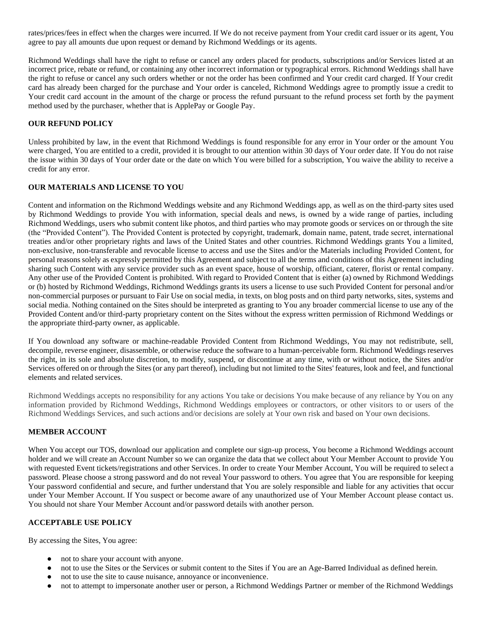rates/prices/fees in effect when the charges were incurred. If We do not receive payment from Your credit card issuer or its agent, You agree to pay all amounts due upon request or demand by Richmond Weddings or its agents.

Richmond Weddings shall have the right to refuse or cancel any orders placed for products, subscriptions and/or Services listed at an incorrect price, rebate or refund, or containing any other incorrect information or typographical errors. Richmond Weddings shall have the right to refuse or cancel any such orders whether or not the order has been confirmed and Your credit card charged. If Your credit card has already been charged for the purchase and Your order is canceled, Richmond Weddings agree to promptly issue a credit to Your credit card account in the amount of the charge or process the refund pursuant to the refund process set forth by the payment method used by the purchaser, whether that is ApplePay or Google Pay.

## **OUR REFUND POLICY**

Unless prohibited by law, in the event that Richmond Weddings is found responsible for any error in Your order or the amount You were charged, You are entitled to a credit, provided it is brought to our attention within 30 days of Your order date. If You do not raise the issue within 30 days of Your order date or the date on which You were billed for a subscription, You waive the ability to receive a credit for any error.

### **OUR MATERIALS AND LICENSE TO YOU**

Content and information on the Richmond Weddings website and any Richmond Weddings app, as well as on the third-party sites used by Richmond Weddings to provide You with information, special deals and news, is owned by a wide range of parties, including Richmond Weddings, users who submit content like photos, and third parties who may promote goods or services on or through the site (the "Provided Content"). The Provided Content is protected by copyright, trademark, domain name, patent, trade secret, international treaties and/or other proprietary rights and laws of the United States and other countries. Richmond Weddings grants You a limited, non-exclusive, non-transferable and revocable license to access and use the Sites and/or the Materials including Provided Content, for personal reasons solely as expressly permitted by this Agreement and subject to all the terms and conditions of this Agreement including sharing such Content with any service provider such as an event space, house of worship, officiant, caterer, florist or rental company. Any other use of the Provided Content is prohibited. With regard to Provided Content that is either (a) owned by Richmond Weddings or (b) hosted by Richmond Weddings, Richmond Weddings grants its users a license to use such Provided Content for personal and/or non-commercial purposes or pursuant to Fair Use on social media, in texts, on blog posts and on third party networks, sites, systems and social media. Nothing contained on the Sites should be interpreted as granting to You any broader commercial license to use any of the Provided Content and/or third-party proprietary content on the Sites without the express written permission of Richmond Weddings or the appropriate third-party owner, as applicable.

If You download any software or machine-readable Provided Content from Richmond Weddings, You may not redistribute, sell, decompile, reverse engineer, disassemble, or otherwise reduce the software to a human-perceivable form. Richmond Weddings reserves the right, in its sole and absolute discretion, to modify, suspend, or discontinue at any time, with or without notice, the Sites and/or Services offered on or through the Sites (or any part thereof), including but not limited to the Sites' features, look and feel, and functional elements and related services.

Richmond Weddings accepts no responsibility for any actions You take or decisions You make because of any reliance by You on any information provided by Richmond Weddings, Richmond Weddings employees or contractors, or other visitors to or users of the Richmond Weddings Services, and such actions and/or decisions are solely at Your own risk and based on Your own decisions.

## **MEMBER ACCOUNT**

When You accept our TOS, download our application and complete our sign-up process, You become a Richmond Weddings account holder and we will create an Account Number so we can organize the data that we collect about Your Member Account to provide You with requested Event tickets/registrations and other Services. In order to create Your Member Account, You will be required to select a password. Please choose a strong password and do not reveal Your password to others. You agree that You are responsible for keeping Your password confidential and secure, and further understand that You are solely responsible and liable for any activities that occur under Your Member Account. If You suspect or become aware of any unauthorized use of Your Member Account please contact us. You should not share Your Member Account and/or password details with another person.

## **ACCEPTABLE USE POLICY**

By accessing the Sites, You agree:

- not to share your account with anyone.
- not to use the Sites or the Services or submit content to the Sites if You are an Age-Barred Individual as defined herein.
- not to use the site to cause nuisance, annoyance or inconvenience.
- not to attempt to impersonate another user or person, a Richmond Weddings Partner or member of the Richmond Weddings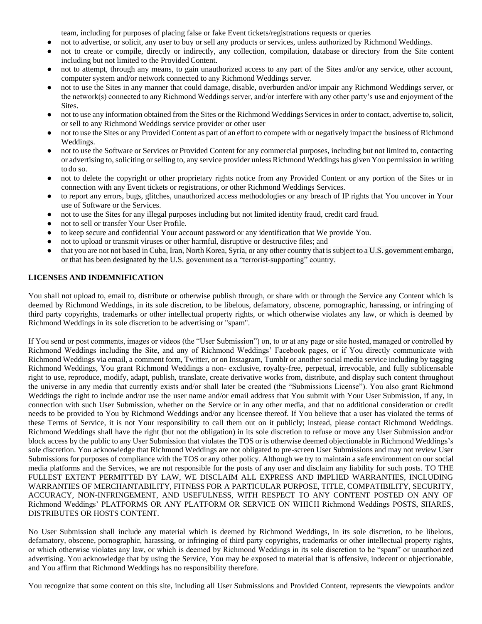team, including for purposes of placing false or fake Event tickets/registrations requests or queries

- not to advertise, or solicit, any user to buy or sell any products or services, unless authorized by Richmond Weddings.
- not to create or compile, directly or indirectly, any collection, compilation, database or directory from the Site content including but not limited to the Provided Content.
- not to attempt, through any means, to gain unauthorized access to any part of the Sites and/or any service, other account, computer system and/or network connected to any Richmond Weddings server.
- not to use the Sites in any manner that could damage, disable, overburden and/or impair any Richmond Weddings server, or the network(s) connected to any Richmond Weddings server, and/or interfere with any other party's use and enjoyment of the Sites.
- not to use any information obtained from the Sites or the Richmond Weddings Services in order to contact, advertise to, solicit, or sell to any Richmond Weddings service provider or other user
- not to use the Sites or any Provided Content as part of an effort to compete with or negatively impact the business of Richmond Weddings.
- not to use the Software or Services or Provided Content for any commercial purposes, including but not limited to, contacting or advertising to, soliciting or selling to, any service provider unless Richmond Weddings has given You permission in writing to do so.
- not to delete the copyright or other proprietary rights notice from any Provided Content or any portion of the Sites or in connection with any Event tickets or registrations, or other Richmond Weddings Services.
- to report any errors, bugs, glitches, unauthorized access methodologies or any breach of IP rights that You uncover in Your use of Software or the Services.
- not to use the Sites for any illegal purposes including but not limited identity fraud, credit card fraud.
- not to sell or transfer Your User Profile.
- to keep secure and confidential Your account password or any identification that We provide You.
- not to upload or transmit viruses or other harmful, disruptive or destructive files; and
- that you are not not based in Cuba, Iran, North Korea,Syria, or any other country thatis subject to a U.S. government embargo, or that has been designated by the U.S. government as a "terrorist-supporting" country.

# **LICENSES AND INDEMNIFICATION**

You shall not upload to, email to, distribute or otherwise publish through, or share with or through the Service any Content which is deemed by Richmond Weddings, in its sole discretion, to be libelous, defamatory, obscene, pornographic, harassing, or infringing of third party copyrights, trademarks or other intellectual property rights, or which otherwise violates any law, or which is deemed by Richmond Weddings in its sole discretion to be advertising or "spam".

If You send or post comments, images or videos (the "User Submission") on, to or at any page or site hosted, managed or controlled by Richmond Weddings including the Site, and any of Richmond Weddings' Facebook pages, or if You directly communicate with Richmond Weddings via email, a comment form, Twitter, or on Instagram, Tumblr or another social media service including by tagging Richmond Weddings, You grant Richmond Weddings a non- exclusive, royalty-free, perpetual, irrevocable, and fully sublicensable right to use, reproduce, modify, adapt, publish, translate, create derivative works from, distribute, and display such content throughout the universe in any media that currently exists and/or shall later be created (the "Submissions License"). You also grant Richmond Weddings the right to include and/or use the user name and/or email address that You submit with Your User Submission, if any, in connection with such User Submission, whether on the Service or in any other media, and that no additional consideration or credit needs to be provided to You by Richmond Weddings and/or any licensee thereof. If You believe that a user has violated the terms of these Terms of Service, it is not Your responsibility to call them out on it publicly; instead, please contact Richmond Weddings. Richmond Weddings shall have the right (but not the obligation) in its sole discretion to refuse or move any User Submission and/or block access by the public to any User Submission that violates the TOS or is otherwise deemed objectionable in Richmond Weddings's sole discretion. You acknowledge that Richmond Weddings are not obligated to pre-screen User Submissions and may not review User Submissions for purposes of compliance with the TOS or any other policy. Although we try to maintain a safe environment on our social media platforms and the Services, we are not responsible for the posts of any user and disclaim any liability for such posts. TO THE FULLEST EXTENT PERMITTED BY LAW, WE DISCLAIM ALL EXPRESS AND IMPLIED WARRANTIES, INCLUDING WARRANTIES OF MERCHANTABILITY, FITNESS FOR A PARTICULAR PURPOSE, TITLE, COMPATIBILITY, SECURITY, ACCURACY, NON-INFRINGEMENT, AND USEFULNESS, WITH RESPECT TO ANY CONTENT POSTED ON ANY OF Richmond Weddings' PLATFORMS OR ANY PLATFORM OR SERVICE ON WHICH Richmond Weddings POSTS, SHARES, DISTRIBUTES OR HOSTS CONTENT.

No User Submission shall include any material which is deemed by Richmond Weddings, in its sole discretion, to be libelous, defamatory, obscene, pornographic, harassing, or infringing of third party copyrights, trademarks or other intellectual property rights, or which otherwise violates any law, or which is deemed by Richmond Weddings in its sole discretion to be "spam" or unauthorized advertising. You acknowledge that by using the Service, You may be exposed to material that is offensive, indecent or objectionable, and You affirm that Richmond Weddings has no responsibility therefore.

You recognize that some content on this site, including all User Submissions and Provided Content, represents the viewpoints and/or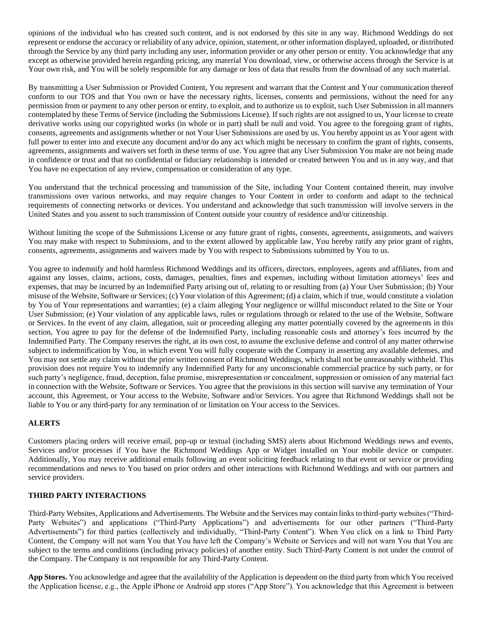opinions of the individual who has created such content, and is not endorsed by this site in any way. Richmond Weddings do not represent or endorse the accuracy or reliability of any advice, opinion, statement, or other information displayed, uploaded, or distributed through the Service by any third party including any user, information provider or any other person or entity. You acknowledge that any except as otherwise provided herein regarding pricing, any material You download, view, or otherwise access through the Service is at Your own risk, and You will be solely responsible for any damage or loss of data that results from the download of any such material.

By transmitting a User Submission or Provided Content, You represent and warrant that the Content and Your communication thereof conform to our TOS and that You own or have the necessary rights, licenses, consents and permissions, without the need for any permission from or payment to any other person or entity, to exploit, and to authorize us to exploit, such User Submission in all manners contemplated by these Terms of Service (including the Submissions License). If such rights are not assigned to us, Your license to create derivative works using our copyrighted works (in whole or in part) shall be null and void. You agree to the foregoing grant of rights, consents, agreements and assignments whether or not Your User Submissions are used by us. You hereby appoint us as Your agent with full power to enter into and execute any document and/or do any act which might be necessary to confirm the grant of rights, consents, agreements, assignments and waivers set forth in these terms of use. You agree that any User Submission You make are not being made in confidence or trust and that no confidential or fiduciary relationship is intended or created between You and us in any way, and that You have no expectation of any review, compensation or consideration of any type.

You understand that the technical processing and transmission of the Site, including Your Content contained therein, may involve transmissions over various networks, and may require changes to Your Content in order to conform and adapt to the technical requirements of connecting networks or devices. You understand and acknowledge that such transmission will involve servers in the United States and you assent to such transmission of Content outside your country of residence and/or citizenship.

Without limiting the scope of the Submissions License or any future grant of rights, consents, agreements, assignments, and waivers You may make with respect to Submissions, and to the extent allowed by applicable law, You hereby ratify any prior grant of rights, consents, agreements, assignments and waivers made by You with respect to Submissions submitted by You to us.

You agree to indemnify and hold harmless Richmond Weddings and its officers, directors, employees, agents and affiliates, from and against any losses, claims, actions, costs, damages, penalties, fines and expenses, including without limitation attorneys' fees and expenses, that may be incurred by an Indemnified Party arising out of, relating to or resulting from (a) Your User Submission; (b) Your misuse of the Website, Software or Services; (c) Your violation of this Agreement; (d) a claim, which if true, would constitute a violation by You of Your representations and warranties; (e) a claim alleging Your negligence or willful misconduct related to the Site or Your User Submission; (e) Your violation of any applicable laws, rules or regulations through or related to the use of the Website, Software or Services. In the event of any claim, allegation, suit or proceeding alleging any matter potentially covered by the agreements in this section, You agree to pay for the defense of the Indemnified Party, including reasonable costs and attorney's fees incurred by the Indemnified Party. The Company reserves the right, at its own cost, to assume the exclusive defense and control of any matter otherwise subject to indemnification by You, in which event You will fully cooperate with the Company in asserting any available defenses, and You may not settle any claim without the prior written consent of Richmond Weddings, which shall not be unreasonably withheld. This provision does not require You to indemnify any Indemnified Party for any unconscionable commercial practice by such party, or for such party's negligence, fraud, deception, false promise, misrepresentation or concealment, suppression or omission of any material fact in connection with the Website, Software or Services. You agree that the provisions in this section will survive any termination of Your account, this Agreement, or Your access to the Website, Software and/or Services. You agree that Richmond Weddings shall not be liable to You or any third-party for any termination of or limitation on Your access to the Services.

# **ALERTS**

Customers placing orders will receive email, pop-up or textual (including SMS) alerts about Richmond Weddings news and events, Services and/or processes if You have the Richmond Weddings App or Widget installed on Your mobile device or computer. Additionally, You may receive additional emails following an event soliciting feedback relating to that event or service or providing recommendations and news to You based on prior orders and other interactions with Richmond Weddings and with our partners and service providers.

## **THIRD PARTY INTERACTIONS**

Third-Party Websites, Applications and Advertisements. The Website and the Services may contain links to third-party websites ("Third-Party Websites") and applications ("Third-Party Applications") and advertisements for our other partners ("Third-Party Advertisements") for third parties (collectively and individually, "Third-Party Content"). When You click on a link to Third Party Content, the Company will not warn You that You have left the Company's Website or Services and will not warn You that You are subject to the terms and conditions (including privacy policies) of another entity. Such Third-Party Content is not under the control of the Company. The Company is not responsible for any Third-Party Content.

**App Stores.** You acknowledge and agree that the availability of the Application is dependent on the third party from which You received the Application license, e.g., the Apple iPhone or Android app stores ("App Store"). You acknowledge that this Agreement is between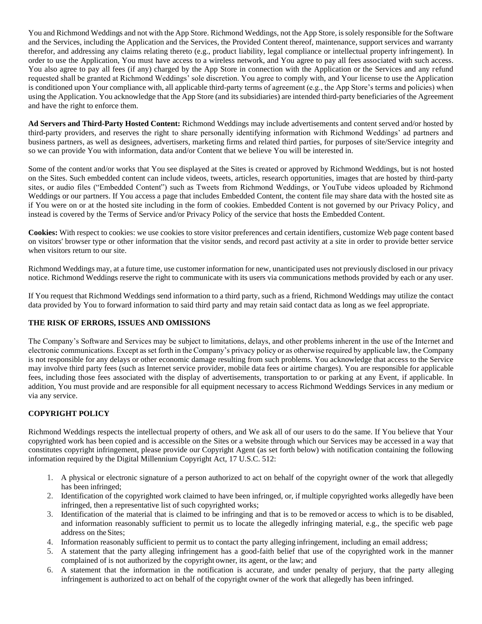You and Richmond Weddings and not with the App Store. Richmond Weddings, not the App Store, is solely responsible for the Software and the Services, including the Application and the Services, the Provided Content thereof, maintenance, support services and warranty therefor, and addressing any claims relating thereto (e.g., product liability, legal compliance or intellectual property infringement). In order to use the Application, You must have access to a wireless network, and You agree to pay all fees associated with such access. You also agree to pay all fees (if any) charged by the App Store in connection with the Application or the Services and any refund requested shall be granted at Richmond Weddings' sole discretion. You agree to comply with, and Your license to use the Application is conditioned upon Your compliance with, all applicable third-party terms of agreement (e.g., the App Store's terms and policies) when using the Application. You acknowledge that the App Store (and its subsidiaries) are intended third-party beneficiaries of the Agreement and have the right to enforce them.

**Ad Servers and Third-Party Hosted Content:** Richmond Weddings may include advertisements and content served and/or hosted by third-party providers, and reserves the right to share personally identifying information with Richmond Weddings' ad partners and business partners, as well as designees, advertisers, marketing firms and related third parties, for purposes of site/Service integrity and so we can provide You with information, data and/or Content that we believe You will be interested in.

Some of the content and/or works that You see displayed at the Sites is created or approved by Richmond Weddings, but is not hosted on the Sites. Such embedded content can include videos, tweets, articles, research opportunities, images that are hosted by third-party sites, or audio files ("Embedded Content") such as Tweets from Richmond Weddings, or YouTube videos uploaded by Richmond Weddings or our partners. If You access a page that includes Embedded Content, the content file may share data with the hosted site as if You were on or at the hosted site including in the form of cookies. Embedded Content is not governed by our Privacy Policy, and instead is covered by the Terms of Service and/or Privacy Policy of the service that hosts the Embedded Content.

**Cookies:** With respect to cookies: we use cookies to store visitor preferences and certain identifiers, customize Web page content based on visitors' browser type or other information that the visitor sends, and record past activity at a site in order to provide better service when visitors return to our site.

Richmond Weddings may, at a future time, use customer information for new, unanticipated uses not previously disclosed in our privacy notice. Richmond Weddings reserve the right to communicate with its users via communications methods provided by each or any user.

If You request that Richmond Weddings send information to a third party, such as a friend, Richmond Weddings may utilize the contact data provided by You to forward information to said third party and may retain said contact data as long as we feel appropriate.

## **THE RISK OF ERRORS, ISSUES AND OMISSIONS**

The Company's Software and Services may be subject to limitations, delays, and other problems inherent in the use of the Internet and electronic communications. Except as set forth in the Company's privacy policy or as otherwise required by applicable law, the Company is not responsible for any delays or other economic damage resulting from such problems. You acknowledge that access to the Service may involve third party fees (such as Internet service provider, mobile data fees or airtime charges). You are responsible for applicable fees, including those fees associated with the display of advertisements, transportation to or parking at any Event, if applicable. In addition, You must provide and are responsible for all equipment necessary to access Richmond Weddings Services in any medium or via any service.

# **COPYRIGHT POLICY**

Richmond Weddings respects the intellectual property of others, and We ask all of our users to do the same. If You believe that Your copyrighted work has been copied and is accessible on the Sites or a website through which our Services may be accessed in a way that constitutes copyright infringement, please provide our Copyright Agent (as set forth below) with notification containing the following information required by the Digital Millennium Copyright Act, 17 U.S.C. 512:

- 1. A physical or electronic signature of a person authorized to act on behalf of the copyright owner of the work that allegedly has been infringed;
- 2. Identification of the copyrighted work claimed to have been infringed, or, if multiple copyrighted works allegedly have been infringed, then a representative list of such copyrighted works;
- 3. Identification of the material that is claimed to be infringing and that is to be removed or access to which is to be disabled, and information reasonably sufficient to permit us to locate the allegedly infringing material, e.g., the specific web page address on the Sites;
- 4. Information reasonably sufficient to permit us to contact the party alleging infringement, including an email address;
- 5. A statement that the party alleging infringement has a good-faith belief that use of the copyrighted work in the manner complained of is not authorized by the copyright owner, its agent, or the law; and
- 6. A statement that the information in the notification is accurate, and under penalty of perjury, that the party alleging infringement is authorized to act on behalf of the copyright owner of the work that allegedly has been infringed.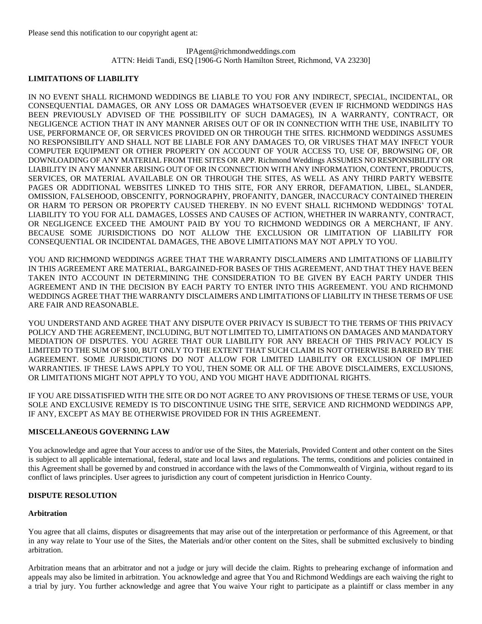# IPAgent@richmondweddings.com ATTN: Heidi Tandi, ESQ [1906-G North Hamilton Street, Richmond, VA 23230]

## **LIMITATIONS OF LIABILITY**

IN NO EVENT SHALL RICHMOND WEDDINGS BE LIABLE TO YOU FOR ANY INDIRECT, SPECIAL, INCIDENTAL, OR CONSEQUENTIAL DAMAGES, OR ANY LOSS OR DAMAGES WHATSOEVER (EVEN IF RICHMOND WEDDINGS HAS BEEN PREVIOUSLY ADVISED OF THE POSSIBILITY OF SUCH DAMAGES), IN A WARRANTY, CONTRACT, OR NEGLIGENCE ACTION THAT IN ANY MANNER ARISES OUT OF OR IN CONNECTION WITH THE USE, INABILITY TO USE, PERFORMANCE OF, OR SERVICES PROVIDED ON OR THROUGH THE SITES. RICHMOND WEDDINGS ASSUMES NO RESPONSIBILITY AND SHALL NOT BE LIABLE FOR ANY DAMAGES TO, OR VIRUSES THAT MAY INFECT YOUR COMPUTER EQUIPMENT OR OTHER PROPERTY ON ACCOUNT OF YOUR ACCESS TO, USE OF, BROWSING OF, OR DOWNLOADING OF ANY MATERIAL FROM THE SITES OR APP. Richmond Weddings ASSUMES NO RESPONSIBILITY OR LIABILITY IN ANY MANNER ARISING OUT OF OR IN CONNECTION WITH ANY INFORMATION, CONTENT, PRODUCTS, SERVICES, OR MATERIAL AVAILABLE ON OR THROUGH THE SITES, AS WELL AS ANY THIRD PARTY WEBSITE PAGES OR ADDITIONAL WEBSITES LINKED TO THIS SITE, FOR ANY ERROR, DEFAMATION, LIBEL, SLANDER, OMISSION, FALSEHOOD, OBSCENITY, PORNOGRAPHY, PROFANITY, DANGER, INACCURACY CONTAINED THEREIN OR HARM TO PERSON OR PROPERTY CAUSED THEREBY. IN NO EVENT SHALL RICHMOND WEDDINGS' TOTAL LIABILITY TO YOU FOR ALL DAMAGES, LOSSES AND CAUSES OF ACTION, WHETHER IN WARRANTY, CONTRACT, OR NEGLIGENCE EXCEED THE AMOUNT PAID BY YOU TO RICHMOND WEDDINGS OR A MERCHANT, IF ANY. BECAUSE SOME JURISDICTIONS DO NOT ALLOW THE EXCLUSION OR LIMITATION OF LIABILITY FOR CONSEQUENTIAL OR INCIDENTAL DAMAGES, THE ABOVE LIMITATIONS MAY NOT APPLY TO YOU.

YOU AND RICHMOND WEDDINGS AGREE THAT THE WARRANTY DISCLAIMERS AND LIMITATIONS OF LIABILITY IN THIS AGREEMENT ARE MATERIAL, BARGAINED-FOR BASES OF THIS AGREEMENT, AND THAT THEY HAVE BEEN TAKEN INTO ACCOUNT IN DETERMINING THE CONSIDERATION TO BE GIVEN BY EACH PARTY UNDER THIS AGREEMENT AND IN THE DECISION BY EACH PARTY TO ENTER INTO THIS AGREEMENT. YOU AND RICHMOND WEDDINGS AGREE THAT THE WARRANTY DISCLAIMERS AND LIMITATIONS OF LIABILITY IN THESE TERMS OF USE ARE FAIR AND REASONABLE.

YOU UNDERSTAND AND AGREE THAT ANY DISPUTE OVER PRIVACY IS SUBJECT TO THE TERMS OF THIS PRIVACY POLICY AND THE AGREEMENT, INCLUDING, BUT NOT LIMITED TO, LIMITATIONS ON DAMAGES AND MANDATORY MEDIATION OF DISPUTES. YOU AGREE THAT OUR LIABILITY FOR ANY BREACH OF THIS PRIVACY POLICY IS LIMITED TO THE SUM OF \$100, BUT ONLY TO THE EXTENT THAT SUCH CLAIM IS NOT OTHERWISE BARRED BY THE AGREEMENT. SOME JURISDICTIONS DO NOT ALLOW FOR LIMITED LIABILITY OR EXCLUSION OF IMPLIED WARRANTIES. IF THESE LAWS APPLY TO YOU, THEN SOME OR ALL OF THE ABOVE DISCLAIMERS, EXCLUSIONS, OR LIMITATIONS MIGHT NOT APPLY TO YOU, AND YOU MIGHT HAVE ADDITIONAL RIGHTS.

IF YOU ARE DISSATISFIED WITH THE SITE OR DO NOT AGREE TO ANY PROVISIONS OF THESE TERMS OF USE, YOUR SOLE AND EXCLUSIVE REMEDY IS TO DISCONTINUE USING THE SITE, SERVICE AND RICHMOND WEDDINGS APP, IF ANY, EXCEPT AS MAY BE OTHERWISE PROVIDED FOR IN THIS AGREEMENT.

## **MISCELLANEOUS GOVERNING LAW**

You acknowledge and agree that Your access to and/or use of the Sites, the Materials, Provided Content and other content on the Sites is subject to all applicable international, federal, state and local laws and regulations. The terms, conditions and policies contained in this Agreement shall be governed by and construed in accordance with the laws of the Commonwealth of Virginia, without regard to its conflict of laws principles. User agrees to jurisdiction any court of competent jurisdiction in Henrico County.

## **DISPUTE RESOLUTION**

#### **Arbitration**

You agree that all claims, disputes or disagreements that may arise out of the interpretation or performance of this Agreement, or that in any way relate to Your use of the Sites, the Materials and/or other content on the Sites, shall be submitted exclusively to binding arbitration.

Arbitration means that an arbitrator and not a judge or jury will decide the claim. Rights to prehearing exchange of information and appeals may also be limited in arbitration. You acknowledge and agree that You and Richmond Weddings are each waiving the right to a trial by jury. You further acknowledge and agree that You waive Your right to participate as a plaintiff or class member in any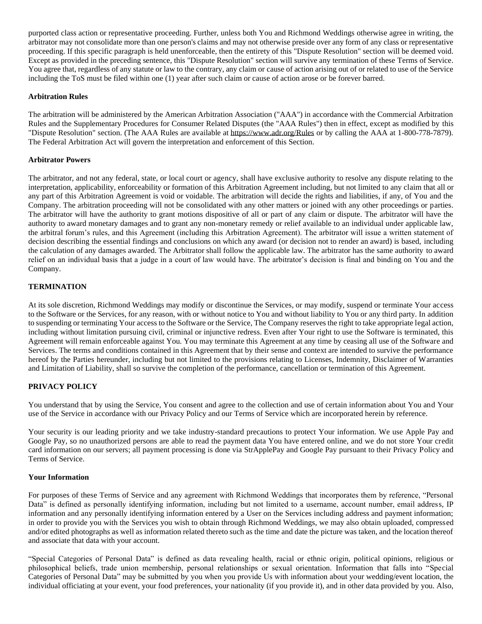purported class action or representative proceeding. Further, unless both You and Richmond Weddings otherwise agree in writing, the arbitrator may not consolidate more than one person's claims and may not otherwise preside over any form of any class or representative proceeding. If this specific paragraph is held unenforceable, then the entirety of this "Dispute Resolution" section will be deemed void. Except as provided in the preceding sentence, this "Dispute Resolution" section will survive any termination of these Terms of Service. You agree that, regardless of any statute or law to the contrary, any claim or cause of action arising out of or related to use of the Service including the ToS must be filed within one (1) year after such claim or cause of action arose or be forever barred.

## **Arbitration Rules**

The arbitration will be administered by the American Arbitration Association ("AAA") in accordance with the Commercial Arbitration Rules and the Supplementary Procedures for Consumer Related Disputes (the "AAA Rules") then in effect, except as modified by this "Dispute Resolution" section. (The AAA Rules are available at https://www.adr.org/Rules or by calling the AAA at 1-800-778-7879). The Federal Arbitration Act will govern the interpretation and enforcement of this Section.

#### **Arbitrator Powers**

The arbitrator, and not any federal, state, or local court or agency, shall have exclusive authority to resolve any dispute relating to the interpretation, applicability, enforceability or formation of this Arbitration Agreement including, but not limited to any claim that all or any part of this Arbitration Agreement is void or voidable. The arbitration will decide the rights and liabilities, if any, of You and the Company. The arbitration proceeding will not be consolidated with any other matters or joined with any other proceedings or parties. The arbitrator will have the authority to grant motions dispositive of all or part of any claim or dispute. The arbitrator will have the authority to award monetary damages and to grant any non-monetary remedy or relief available to an individual under applicable law, the arbitral forum's rules, and this Agreement (including this Arbitration Agreement). The arbitrator will issue a written statement of decision describing the essential findings and conclusions on which any award (or decision not to render an award) is based, including the calculation of any damages awarded. The Arbitrator shall follow the applicable law. The arbitrator has the same authority to award relief on an individual basis that a judge in a court of law would have. The arbitrator's decision is final and binding on You and the Company.

### **TERMINATION**

At its sole discretion, Richmond Weddings may modify or discontinue the Services, or may modify, suspend or terminate Your access to the Software or the Services, for any reason, with or without notice to You and without liability to You or any third party. In addition to suspending or terminating Your access to the Software or the Service, The Company reserves the right to take appropriate legal action, including without limitation pursuing civil, criminal or injunctive redress. Even after Your right to use the Software is terminated, this Agreement will remain enforceable against You. You may terminate this Agreement at any time by ceasing all use of the Software and Services. The terms and conditions contained in this Agreement that by their sense and context are intended to survive the performance hereof by the Parties hereunder, including but not limited to the provisions relating to Licenses, Indemnity, Disclaimer of Warranties and Limitation of Liability, shall so survive the completion of the performance, cancellation or termination of this Agreement.

## **PRIVACY POLICY**

You understand that by using the Service, You consent and agree to the collection and use of certain information about You and Your use of the Service in accordance with our Privacy Policy and our Terms of Service which are incorporated herein by reference.

Your security is our leading priority and we take industry-standard precautions to protect Your information. We use Apple Pay and Google Pay, so no unauthorized persons are able to read the payment data You have entered online, and we do not store Your credit card information on our servers; all payment processing is done via StrApplePay and Google Pay pursuant to their Privacy Policy and Terms of Service.

#### **Your Information**

For purposes of these Terms of Service and any agreement with Richmond Weddings that incorporates them by reference, "Personal Data" is defined as personally identifying information, including but not limited to a username, account number, email address, IP information and any personally identifying information entered by a User on the Services including address and payment information; in order to provide you with the Services you wish to obtain through Richmond Weddings, we may also obtain uploaded, compressed and/or edited photographs as well as information related thereto such as the time and date the picture was taken, and the location thereof and associate that data with your account.

"Special Categories of Personal Data" is defined as data revealing health, racial or ethnic origin, political opinions, religious or philosophical beliefs, trade union membership, personal relationships or sexual orientation. Information that falls into "Special Categories of Personal Data" may be submitted by you when you provide Us with information about your wedding/event location, the individual officiating at your event, your food preferences, your nationality (if you provide it), and in other data provided by you. Also,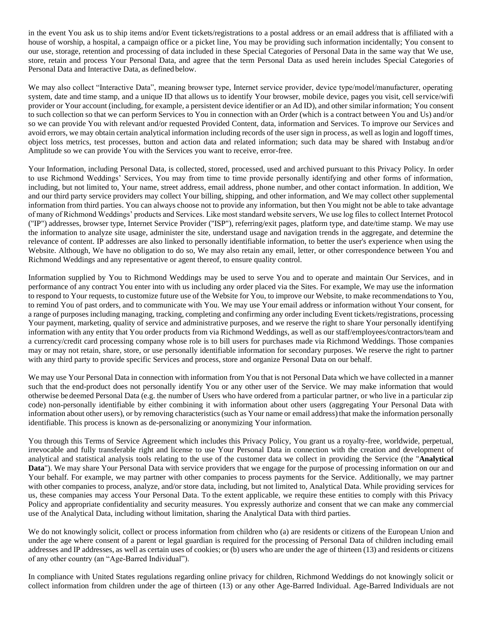in the event You ask us to ship items and/or Event tickets/registrations to a postal address or an email address that is affiliated with a house of worship, a hospital, a campaign office or a picket line, You may be providing such information incidentally; You consent to our use, storage, retention and processing of data included in these Special Categories of Personal Data in the same way that We use, store, retain and process Your Personal Data, and agree that the term Personal Data as used herein includes Special Categories of Personal Data and Interactive Data, as defined below.

We may also collect "Interactive Data", meaning browser type, Internet service provider, device type/model/manufacturer, operating system, date and time stamp, and a unique ID that allows us to identify Your browser, mobile device, pages you visit, cell service/wifi provider or Your account (including, for example, a persistent device identifier or an Ad ID), and other similar information; You consent to such collection so that we can perform Services to You in connection with an Order (which is a contract between You and Us) and/or so we can provide You with relevant and/or requested Provided Content, data, information and Services. To improve our Services and avoid errors, we may obtain certain analytical information including records of the user sign in process, as well as login and logoff times, object loss metrics, test processes, button and action data and related information; such data may be shared with Instabug and/or Amplitude so we can provide You with the Services you want to receive, error-free.

Your Information, including Personal Data, is collected, stored, processed, used and archived pursuant to this Privacy Policy. In order to use Richmond Weddings' Services, You may from time to time provide personally identifying and other forms of information, including, but not limited to, Your name, street address, email address, phone number, and other contact information. In addition, We and our third party service providers may collect Your billing, shipping, and other information, and We may collect other supplemental information from third parties. You can always choose not to provide any information, but then You might not be able to take advantage of many of Richmond Weddings' products and Services. Like most standard website servers, We use log files to collect Internet Protocol ("IP") addresses, browser type, Internet Service Provider ("ISP"), referring/exit pages, platform type, and date/time stamp. We may use the information to analyze site usage, administer the site, understand usage and navigation trends in the aggregate, and determine the relevance of content. IP addresses are also linked to personally identifiable information, to better the user's experience when using the Website. Although, We have no obligation to do so, We may also retain any email, letter, or other correspondence between You and Richmond Weddings and any representative or agent thereof, to ensure quality control.

Information supplied by You to Richmond Weddings may be used to serve You and to operate and maintain Our Services, and in performance of any contract You enter into with us including any order placed via the Sites. For example, We may use the information to respond to Your requests, to customize future use of the Website for You, to improve our Website, to make recommendations to You, to remind You of past orders, and to communicate with You. We may use Your email address or information without Your consent, for a range of purposes including managing, tracking, completing and confirming any order including Event tickets/registrations, processing Your payment, marketing, quality of service and administrative purposes, and we reserve the right to share Your personally identifying information with any entity that You order products from via Richmond Weddings, as well as our staff/employees/contractors/team and a currency/credit card processing company whose role is to bill users for purchases made via Richmond Weddings. Those companies may or may not retain, share, store, or use personally identifiable information for secondary purposes. We reserve the right to partner with any third party to provide specific Services and process, store and organize Personal Data on our behalf.

We may use Your Personal Data in connection with information from You that is not Personal Data which we have collected in a manner such that the end-product does not personally identify You or any other user of the Service. We may make information that would otherwise be deemed Personal Data (e.g. the number of Users who have ordered from a particular partner, or who live in a particular zip code) non-personally identifiable by either combining it with information about other users (aggregating Your Personal Data with information about other users), or by removing characteristics (such as Your name or email address) that make the information personally identifiable. This process is known as de-personalizing or anonymizing Your information.

You through this Terms of Service Agreement which includes this Privacy Policy, You grant us a royalty-free, worldwide, perpetual, irrevocable and fully transferable right and license to use Your Personal Data in connection with the creation and development of analytical and statistical analysis tools relating to the use of the customer data we collect in providing the Service (the "**Analytical Data**"). We may share Your Personal Data with service providers that we engage for the purpose of processing information on our and Your behalf. For example, we may partner with other companies to process payments for the Service. Additionally, we may partner with other companies to process, analyze, and/or store data, including, but not limited to, Analytical Data. While providing services for us, these companies may access Your Personal Data. To the extent applicable, we require these entities to comply with this Privacy Policy and appropriate confidentiality and security measures. You expressly authorize and consent that we can make any commercial use of the Analytical Data, including without limitation, sharing the Analytical Data with third parties.

We do not knowingly solicit, collect or process information from children who (a) are residents or citizens of the European Union and under the age where consent of a parent or legal guardian is required for the processing of Personal Data of children including email addresses and IP addresses, as well as certain uses of cookies; or (b) users who are under the age of thirteen (13) and residents or citizens of any other country (an "Age-Barred Individual").

In compliance with United States regulations regarding online privacy for children, Richmond Weddings do not knowingly solicit or collect information from children under the age of thirteen (13) or any other Age-Barred Individual. Age-Barred Individuals are not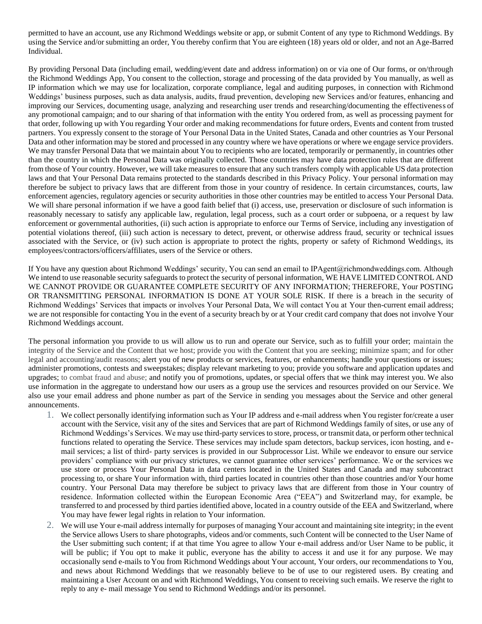permitted to have an account, use any Richmond Weddings website or app, or submit Content of any type to Richmond Weddings. By using the Service and/or submitting an order, You thereby confirm that You are eighteen (18) years old or older, and not an Age-Barred Individual.

By providing Personal Data (including email, wedding/event date and address information) on or via one of Our forms, or on/through the Richmond Weddings App, You consent to the collection, storage and processing of the data provided by You manually, as well as IP information which we may use for localization, corporate compliance, legal and auditing purposes, in connection with Richmond Weddings' business purposes, such as data analysis, audits, fraud prevention, developing new Services and/or features, enhancing and improving our Services, documenting usage, analyzing and researching user trends and researching/documenting the effectiveness of any promotional campaign; and to our sharing of that information with the entity You ordered from, as well as processing payment for that order, following up with You regarding Your order and making recommendations for future orders, Events and content from trusted partners. You expressly consent to the storage of Your Personal Data in the United States, Canada and other countries as Your Personal Data and other information may be stored and processed in any country where we have operations or where we engage service providers. We may transfer Personal Data that we maintain about You to recipients who are located, temporarily or permanently, in countries other than the country in which the Personal Data was originally collected. Those countries may have data protection rules that are different from those of Your country. However, we will take measures to ensure that any such transfers comply with applicable US data protection laws and that Your Personal Data remains protected to the standards described in this Privacy Policy. Your personal information may therefore be subject to privacy laws that are different from those in your country of residence. In certain circumstances, courts, law enforcement agencies, regulatory agencies or security authorities in those other countries may be entitled to access Your Personal Data. We will share personal information if we have a good faith belief that (i) access, use, preservation or disclosure of such information is reasonably necessary to satisfy any applicable law, regulation, legal process, such as a court order or subpoena, or a request by law enforcement or governmental authorities, (ii) such action is appropriate to enforce our Terms of Service, including any investigation of potential violations thereof, (iii) such action is necessary to detect, prevent, or otherwise address fraud, security or technical issues associated with the Service, or (iv) such action is appropriate to protect the rights, property or safety of Richmond Weddings, its employees/contractors/officers/affiliates, users of the Service or others.

If You have any question about Richmond Weddings' security, You can send an email to IPAgent@richmondweddings.com. Although We intend to use reasonable security safeguards to protect the security of personal information, WE HAVE LIMITED CONTROL AND WE CANNOT PROVIDE OR GUARANTEE COMPLETE SECURITY OF ANY INFORMATION; THEREFORE, Your POSTING OR TRANSMITTING PERSONAL INFORMATION IS DONE AT YOUR SOLE RISK. If there is a breach in the security of Richmond Weddings' Services that impacts or involves Your Personal Data, We will contact You at Your then-current email address; we are not responsible for contacting You in the event of a security breach by or at Your credit card company that does not involve Your Richmond Weddings account.

The personal information you provide to us will allow us to run and operate our Service, such as to fulfill your order; maintain the integrity of the Service and the Content that we host; provide you with the Content that you are seeking; minimize spam; and for other legal and accounting/audit reasons; alert you of new products or services, features, or enhancements; handle your questions or issues; administer promotions, contests and sweepstakes; display relevant marketing to you; provide you software and application updates and upgrades; to combat fraud and abuse; and notify you of promotions, updates, or special offers that we think may interest you. We also use information in the aggregate to understand how our users as a group use the services and resources provided on our Service. We also use your email address and phone number as part of the Service in sending you messages about the Service and other general announcements.

- 1. We collect personally identifying information such as Your IP address and e-mail address when You register for/create a user account with the Service, visit any of the sites and Services that are part of Richmond Weddings family of sites, or use any of Richmond Weddings's Services. We may use third-party services to store, process, or transmit data, or perform other technical functions related to operating the Service. These services may include spam detectors, backup services, icon hosting, and email services; a list of third- party services is provided in our Subprocessor List. While we endeavor to ensure our service providers' compliance with our privacy strictures, we cannot guarantee other services' performance. We or the services we use store or process Your Personal Data in data centers located in the United States and Canada and may subcontract processing to, or share Your information with, third parties located in countries other than those countries and/or Your home country. Your Personal Data may therefore be subject to privacy laws that are different from those in Your country of residence. Information collected within the European Economic Area ("EEA") and Switzerland may, for example, be transferred to and processed by third parties identified above, located in a country outside of the EEA and Switzerland, where You may have fewer legal rights in relation to Your information.
- 2. We will use Your e-mail address internally for purposes of managing Your account and maintaining site integrity; in the event the Service allows Users to share photographs, videos and/or comments, such Content will be connected to the User Name of the User submitting such content; if at that time You agree to allow Your e-mail address and/or User Name to be public, it will be public; if You opt to make it public, everyone has the ability to access it and use it for any purpose. We may occasionally send e-mails to You from Richmond Weddings about Your account, Your orders, our recommendations to You, and news about Richmond Weddings that we reasonably believe to be of use to our registered users. By creating and maintaining a User Account on and with Richmond Weddings, You consent to receiving such emails. We reserve the right to reply to any e- mail message You send to Richmond Weddings and/or its personnel.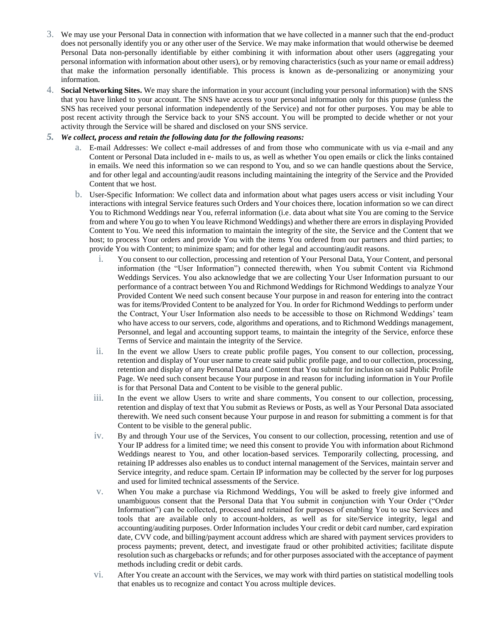- 3. We may use your Personal Data in connection with information that we have collected in a manner such that the end-product does not personally identify you or any other user of the Service. We may make information that would otherwise be deemed Personal Data non-personally identifiable by either combining it with information about other users (aggregating your personal information with information about other users), or by removing characteristics (such as your name or email address) that make the information personally identifiable. This process is known as de-personalizing or anonymizing your information.
- 4. **Social Networking Sites.** We may share the information in your account (including your personal information) with the SNS that you have linked to your account. The SNS have access to your personal information only for this purpose (unless the SNS has received your personal information independently of the Service) and not for other purposes. You may be able to post recent activity through the Service back to your SNS account. You will be prompted to decide whether or not your activity through the Service will be shared and disclosed on your SNS service.

## *5. We collect, process and retain the following data for the following reasons:*

- a. E-mail Addresses: We collect e-mail addresses of and from those who communicate with us via e-mail and any Content or Personal Data included in e- mails to us, as well as whether You open emails or click the links contained in emails. We need this information so we can respond to You, and so we can handle questions about the Service, and for other legal and accounting/audit reasons including maintaining the integrity of the Service and the Provided Content that we host.
- b. User-Specific Information: We collect data and information about what pages users access or visit including Your interactions with integral Service features such Orders and Your choices there, location information so we can direct You to Richmond Weddings near You, referral information (i.e. data about what site You are coming to the Service from and where You go to when You leave Richmond Weddings) and whether there are errors in displaying Provided Content to You. We need this information to maintain the integrity of the site, the Service and the Content that we host; to process Your orders and provide You with the items You ordered from our partners and third parties; to provide You with Content; to minimize spam; and for other legal and accounting/audit reasons.
	- i. You consent to our collection, processing and retention of Your Personal Data, Your Content, and personal information (the "User Information") connected therewith, when You submit Content via Richmond Weddings Services. You also acknowledge that we are collecting Your User Information pursuant to our performance of a contract between You and Richmond Weddings for Richmond Weddings to analyze Your Provided Content We need such consent because Your purpose in and reason for entering into the contract was for items/Provided Content to be analyzed for You. In order for Richmond Weddings to perform under the Contract, Your User Information also needs to be accessible to those on Richmond Weddings' team who have access to our servers, code, algorithms and operations, and to Richmond Weddings management, Personnel, and legal and accounting support teams, to maintain the integrity of the Service, enforce these Terms of Service and maintain the integrity of the Service.
	- ii. In the event we allow Users to create public profile pages, You consent to our collection, processing, retention and display of Your user name to create said public profile page, and to our collection, processing, retention and display of any Personal Data and Content that You submit for inclusion on said Public Profile Page. We need such consent because Your purpose in and reason for including information in Your Profile is for that Personal Data and Content to be visible to the general public.
	- iii. In the event we allow Users to write and share comments, You consent to our collection, processing, retention and display of text that You submit as Reviews or Posts, as well as Your Personal Data associated therewith. We need such consent because Your purpose in and reason for submitting a comment is for that Content to be visible to the general public.
	- iv. By and through Your use of the Services, You consent to our collection, processing, retention and use of Your IP address for a limited time; we need this consent to provide You with information about Richmond Weddings nearest to You, and other location-based services. Temporarily collecting, processing, and retaining IP addresses also enables us to conduct internal management of the Services, maintain server and Service integrity, and reduce spam. Certain IP information may be collected by the server for log purposes and used for limited technical assessments of the Service.
	- v. When You make a purchase via Richmond Weddings, You will be asked to freely give informed and unambiguous consent that the Personal Data that You submit in conjunction with Your Order ("Order Information") can be collected, processed and retained for purposes of enabling You to use Services and tools that are available only to account-holders, as well as for site/Service integrity, legal and accounting/auditing purposes. Order Information includes Your credit or debit card number, card expiration date, CVV code, and billing/payment account address which are shared with payment services providers to process payments; prevent, detect, and investigate fraud or other prohibited activities; facilitate dispute resolution such as chargebacks or refunds; and for other purposes associated with the acceptance of payment methods including credit or debit cards.
	- vi. After You create an account with the Services, we may work with third parties on statistical modelling tools that enables us to recognize and contact You across multiple devices.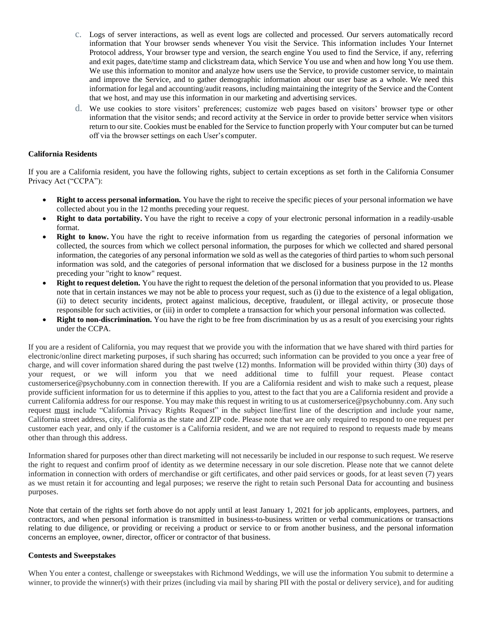- c. Logs of server interactions, as well as event logs are collected and processed. Our servers automatically record information that Your browser sends whenever You visit the Service. This information includes Your Internet Protocol address, Your browser type and version, the search engine You used to find the Service, if any, referring and exit pages, date/time stamp and clickstream data, which Service You use and when and how long You use them. We use this information to monitor and analyze how users use the Service, to provide customer service, to maintain and improve the Service, and to gather demographic information about our user base as a whole. We need this information for legal and accounting/audit reasons, including maintaining the integrity of the Service and the Content that we host, and may use this information in our marketing and advertising services.
- d. We use cookies to store visitors' preferences; customize web pages based on visitors' browser type or other information that the visitor sends; and record activity at the Service in order to provide better service when visitors return to our site. Cookies must be enabled for the Service to function properly with Your computer but can be turned off via the browser settings on each User's computer.

## **California Residents**

If you are a California resident, you have the following rights, subject to certain exceptions as set forth in the California Consumer Privacy Act ("CCPA"):

- **Right to access personal information.** You have the right to receive the specific pieces of your personal information we have collected about you in the 12 months preceding your request.
- **Right to data portability.** You have the right to receive a copy of your electronic personal information in a readily-usable format.
- **Right to know.** You have the right to receive information from us regarding the categories of personal information we collected, the sources from which we collect personal information, the purposes for which we collected and shared personal information, the categories of any personal information we sold as well as the categories of third parties to whom such personal information was sold, and the categories of personal information that we disclosed for a business purpose in the 12 months preceding your "right to know" request.
- **Right to request deletion.** You have the right to request the deletion of the personal information that you provided to us. Please note that in certain instances we may not be able to process your request, such as (i) due to the existence of a legal obligation, (ii) to detect security incidents, protect against malicious, deceptive, fraudulent, or illegal activity, or prosecute those responsible for such activities, or (iii) in order to complete a transaction for which your personal information was collected.
- **Right to non-discrimination.** You have the right to be free from discrimination by us as a result of you exercising your rights under the CCPA.

If you are a resident of California, you may request that we provide you with the information that we have shared with third parties for electronic/online direct marketing purposes, if such sharing has occurred; such information can be provided to you once a year free of charge, and will cover information shared during the past twelve (12) months. Information will be provided within thirty (30) days of your request, or we will inform you that we need additional time to fulfill your request. Please contact customerserice@psychobunny.com in connection therewith. If you are a California resident and wish to make such a request, please provide sufficient information for us to determine if this applies to you, attest to the fact that you are a California resident and provide a current California address for our response. You may make this request in writing to us at customerserice@psychobunny.com. Any such request must include "California Privacy Rights Request" in the subject line/first line of the description and include your name, California street address, city, California as the state and ZIP code. Please note that we are only required to respond to one request per customer each year, and only if the customer is a California resident, and we are not required to respond to requests made by means other than through this address.

Information shared for purposes other than direct marketing will not necessarily be included in our response to such request. We reserve the right to request and confirm proof of identity as we determine necessary in our sole discretion. Please note that we cannot delete information in connection with orders of merchandise or gift certificates, and other paid services or goods, for at least seven (7) years as we must retain it for accounting and legal purposes; we reserve the right to retain such Personal Data for accounting and business purposes.

Note that certain of the rights set forth above do not apply until at least January 1, 2021 for job applicants, employees, partners, and contractors, and when personal information is transmitted in business-to-business written or verbal communications or transactions relating to due diligence, or providing or receiving a product or service to or from another business, and the personal information concerns an employee, owner, director, officer or contractor of that business.

#### **Contests and Sweepstakes**

When You enter a contest, challenge or sweepstakes with Richmond Weddings, we will use the information You submit to determine a winner, to provide the winner(s) with their prizes (including via mail by sharing PII with the postal or delivery service), and for auditing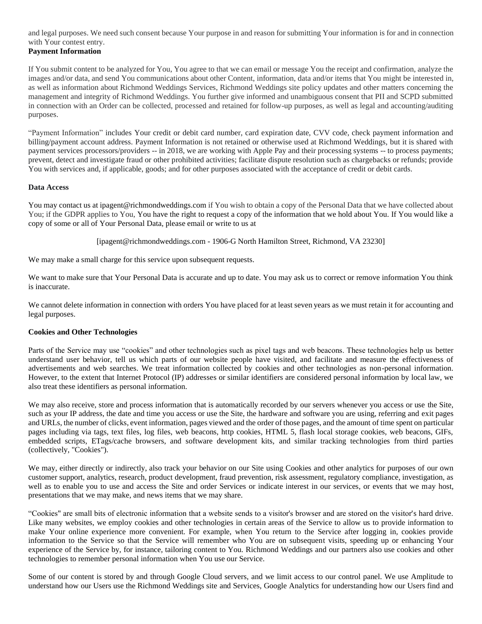and legal purposes. We need such consent because Your purpose in and reason for submitting Your information is for and in connection with Your contest entry. **Payment Information**

If You submit content to be analyzed for You, You agree to that we can email or message You the receipt and confirmation, analyze the images and/or data, and send You communications about other Content, information, data and/or items that You might be interested in, as well as information about Richmond Weddings Services, Richmond Weddings site policy updates and other matters concerning the management and integrity of Richmond Weddings. You further give informed and unambiguous consent that PII and SCPD submitted in connection with an Order can be collected, processed and retained for follow-up purposes, as well as legal and accounting/auditing purposes.

"Payment Information" includes Your credit or debit card number, card expiration date, CVV code, check payment information and billing/payment account address. Payment Information is not retained or otherwise used at Richmond Weddings, but it is shared with payment services processors/providers -- in 2018, we are working with Apple Pay and their processing systems -- to process payments; prevent, detect and investigate fraud or other prohibited activities; facilitate dispute resolution such as chargebacks or refunds; provide You with services and, if applicable, goods; and for other purposes associated with the acceptance of credit or debit cards.

### **Data Access**

You may contact us at ipagent@richmondweddings.com if You wish to obtain a copy of the Personal Data that we have collected about You; if the GDPR applies to You, You have the right to request a copy of the information that we hold about You. If You would like a copy of some or all of Your Personal Data, please email or write to us at

[ipagent@richmondweddings.com - 1906-G North Hamilton Street, Richmond, VA 23230]

We may make a small charge for this service upon subsequent requests.

We want to make sure that Your Personal Data is accurate and up to date. You may ask us to correct or remove information You think is inaccurate.

We cannot delete information in connection with orders You have placed for at least seven years as we must retain it for accounting and legal purposes.

## **Cookies and Other Technologies**

Parts of the Service may use "cookies" and other technologies such as pixel tags and web beacons. These technologies help us better understand user behavior, tell us which parts of our website people have visited, and facilitate and measure the effectiveness of advertisements and web searches. We treat information collected by cookies and other technologies as non-personal information. However, to the extent that Internet Protocol (IP) addresses or similar identifiers are considered personal information by local law, we also treat these identifiers as personal information.

We may also receive, store and process information that is automatically recorded by our servers whenever you access or use the Site, such as your IP address, the date and time you access or use the Site, the hardware and software you are using, referring and exit pages and URLs, the number of clicks, event information, pages viewed and the order of those pages, and the amount of time spent on particular pages including via tags, text files, log files, web beacons, http cookies, HTML 5, flash local storage cookies, web beacons, GIFs, embedded scripts, ETags/cache browsers, and software development kits, and similar tracking technologies from third parties (collectively, "Cookies").

We may, either directly or indirectly, also track your behavior on our Site using Cookies and other analytics for purposes of our own customer support, analytics, research, product development, fraud prevention, risk assessment, regulatory compliance, investigation, as well as to enable you to use and access the Site and order Services or indicate interest in our services, or events that we may host, presentations that we may make, and news items that we may share.

"Cookies" are small bits of electronic information that a website sends to a visitor's browser and are stored on the visitor's hard drive. Like many websites, we employ cookies and other technologies in certain areas of the Service to allow us to provide information to make Your online experience more convenient. For example, when You return to the Service after logging in, cookies provide information to the Service so that the Service will remember who You are on subsequent visits, speeding up or enhancing Your experience of the Service by, for instance, tailoring content to You. Richmond Weddings and our partners also use cookies and other technologies to remember personal information when You use our Service.

Some of our content is stored by and through Google Cloud servers, and we limit access to our control panel. We use Amplitude to understand how our Users use the Richmond Weddings site and Services, Google Analytics for understanding how our Users find and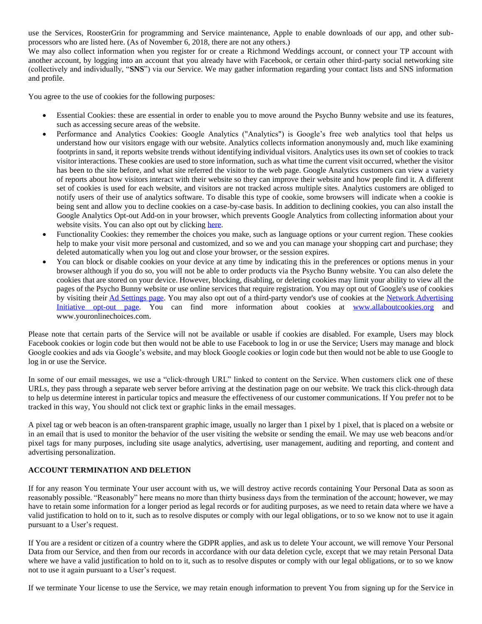use the Services, RoosterGrin for programming and Service maintenance, Apple to enable downloads of our app, and other subprocessors who are listed here. (As of November 6, 2018, there are not any others.)

We may also collect information when you register for or create a Richmond Weddings account, or connect your TP account with another account, by logging into an account that you already have with Facebook, or certain other third-party social networking site (collectively and individually, "**SNS**") via our Service. We may gather information regarding your contact lists and SNS information and profile.

You agree to the use of cookies for the following purposes:

- Essential Cookies: these are essential in order to enable you to move around the Psycho Bunny website and use its features, such as accessing secure areas of the website.
- Performance and Analytics Cookies: Google Analytics ("Analytics") is Google's free web analytics tool that helps us understand how our visitors engage with our website. Analytics collects information anonymously and, much like examining footprints in sand, it reports website trends without identifying individual visitors. Analytics uses its own set of cookies to track visitor interactions. These cookies are used to store information, such as what time the current visit occurred, whether the visitor has been to the site before, and what site referred the visitor to the web page. Google Analytics customers can view a variety of reports about how visitors interact with their website so they can improve their website and how people find it. A different set of cookies is used for each website, and visitors are not tracked across multiple sites. Analytics customers are obliged to notify users of their use of analytics software. To disable this type of cookie, some browsers will indicate when a cookie is being sent and allow you to decline cookies on a case-by-case basis. In addition to declining cookies, you can also install the Google Analytics Opt-out Add-on in your browser, which prevents Google Analytics from collecting information about your website visits. You can also opt out by clicking here.
- Functionality Cookies: they remember the choices you make, such as language options or your current region. These cookies help to make your visit more personal and customized, and so we and you can manage your shopping cart and purchase; they deleted automatically when you log out and close your browser, or the session expires.
- You can block or disable cookies on your device at any time by indicating this in the preferences or options menus in your browser although if you do so, you will not be able to order products via the Psycho Bunny website. You can also delete the cookies that are stored on your device. However, blocking, disabling, or deleting cookies may limit your ability to view all the pages of the Psycho Bunny website or use online services that require registration. You may opt out of Google's use of cookies by visiting their Ad Settings page. You may also opt out of a third-party vendor's use of cookies at the Network Advertising Initiative opt-out page. You can find more information about cookies at www.allaboutcookies.org and www.youronlinechoices.com.

Please note that certain parts of the Service will not be available or usable if cookies are disabled. For example, Users may block Facebook cookies or login code but then would not be able to use Facebook to log in or use the Service; Users may manage and block Google cookies and ads via Google's website, and may block Google cookies or login code but then would not be able to use Google to log in or use the Service.

In some of our email messages, we use a "click-through URL" linked to content on the Service. When customers click one of these URLs, they pass through a separate web server before arriving at the destination page on our website. We track this click-through data to help us determine interest in particular topics and measure the effectiveness of our customer communications. If You prefer not to be tracked in this way, You should not click text or graphic links in the email messages.

A pixel tag or web beacon is an often-transparent graphic image, usually no larger than 1 pixel by 1 pixel, that is placed on a website or in an email that is used to monitor the behavior of the user visiting the website or sending the email. We may use web beacons and/or pixel tags for many purposes, including site usage analytics, advertising, user management, auditing and reporting, and content and advertising personalization.

## **ACCOUNT TERMINATION AND DELETION**

If for any reason You terminate Your user account with us, we will destroy active records containing Your Personal Data as soon as reasonably possible. "Reasonably" here means no more than thirty business days from the termination of the account; however, we may have to retain some information for a longer period as legal records or for auditing purposes, as we need to retain data where we have a valid justification to hold on to it, such as to resolve disputes or comply with our legal obligations, or to so we know not to use it again pursuant to a User's request.

If You are a resident or citizen of a country where the GDPR applies, and ask us to delete Your account, we will remove Your Personal Data from our Service, and then from our records in accordance with our data deletion cycle, except that we may retain Personal Data where we have a valid justification to hold on to it, such as to resolve disputes or comply with our legal obligations, or to so we know not to use it again pursuant to a User's request.

If we terminate Your license to use the Service, we may retain enough information to prevent You from signing up for the Service in